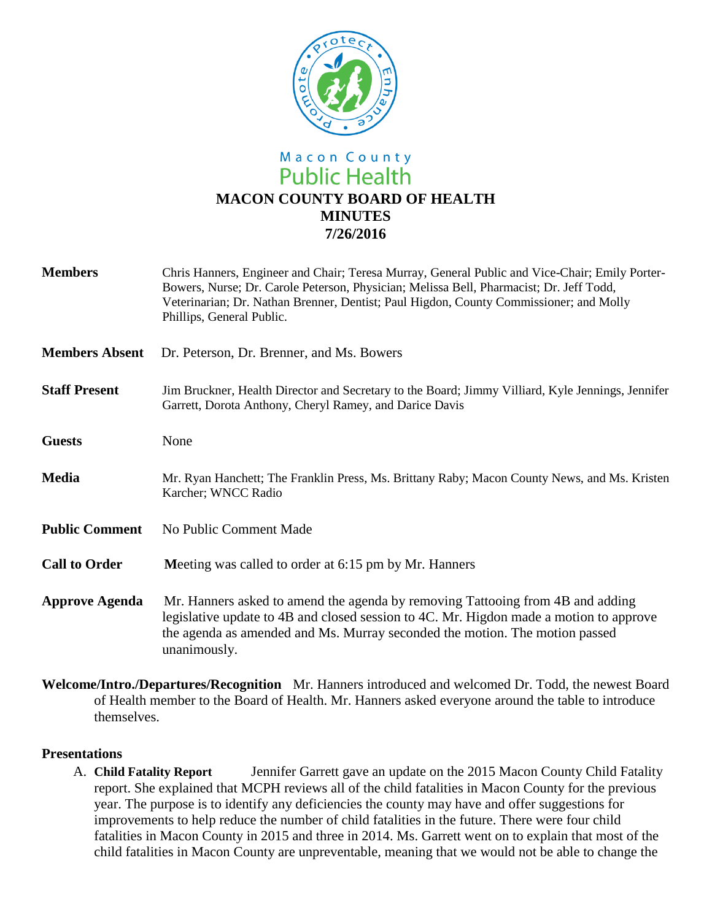

# Macon County **Public Health MACON COUNTY BOARD OF HEALTH MINUTES 7/26/2016**

| <b>Members</b>        | Chris Hanners, Engineer and Chair; Teresa Murray, General Public and Vice-Chair; Emily Porter-<br>Bowers, Nurse; Dr. Carole Peterson, Physician; Melissa Bell, Pharmacist; Dr. Jeff Todd,<br>Veterinarian; Dr. Nathan Brenner, Dentist; Paul Higdon, County Commissioner; and Molly<br>Phillips, General Public. |
|-----------------------|------------------------------------------------------------------------------------------------------------------------------------------------------------------------------------------------------------------------------------------------------------------------------------------------------------------|
| <b>Members Absent</b> | Dr. Peterson, Dr. Brenner, and Ms. Bowers                                                                                                                                                                                                                                                                        |
| <b>Staff Present</b>  | Jim Bruckner, Health Director and Secretary to the Board; Jimmy Villiard, Kyle Jennings, Jennifer<br>Garrett, Dorota Anthony, Cheryl Ramey, and Darice Davis                                                                                                                                                     |
| <b>Guests</b>         | None                                                                                                                                                                                                                                                                                                             |
| <b>Media</b>          | Mr. Ryan Hanchett; The Franklin Press, Ms. Brittany Raby; Macon County News, and Ms. Kristen<br>Karcher; WNCC Radio                                                                                                                                                                                              |
| <b>Public Comment</b> | No Public Comment Made                                                                                                                                                                                                                                                                                           |
| <b>Call to Order</b>  | Meeting was called to order at 6:15 pm by Mr. Hanners                                                                                                                                                                                                                                                            |
| <b>Approve Agenda</b> | Mr. Hanners asked to amend the agenda by removing Tattooing from 4B and adding<br>legislative update to 4B and closed session to 4C. Mr. Higdon made a motion to approve<br>the agenda as amended and Ms. Murray seconded the motion. The motion passed<br>unanimously.                                          |

**Welcome/Intro./Departures/Recognition** Mr. Hanners introduced and welcomed Dr. Todd, the newest Board of Health member to the Board of Health. Mr. Hanners asked everyone around the table to introduce themselves.

#### **Presentations**

A. **Child Fatality Report** Jennifer Garrett gave an update on the 2015 Macon County Child Fatality report. She explained that MCPH reviews all of the child fatalities in Macon County for the previous year. The purpose is to identify any deficiencies the county may have and offer suggestions for improvements to help reduce the number of child fatalities in the future. There were four child fatalities in Macon County in 2015 and three in 2014. Ms. Garrett went on to explain that most of the child fatalities in Macon County are unpreventable, meaning that we would not be able to change the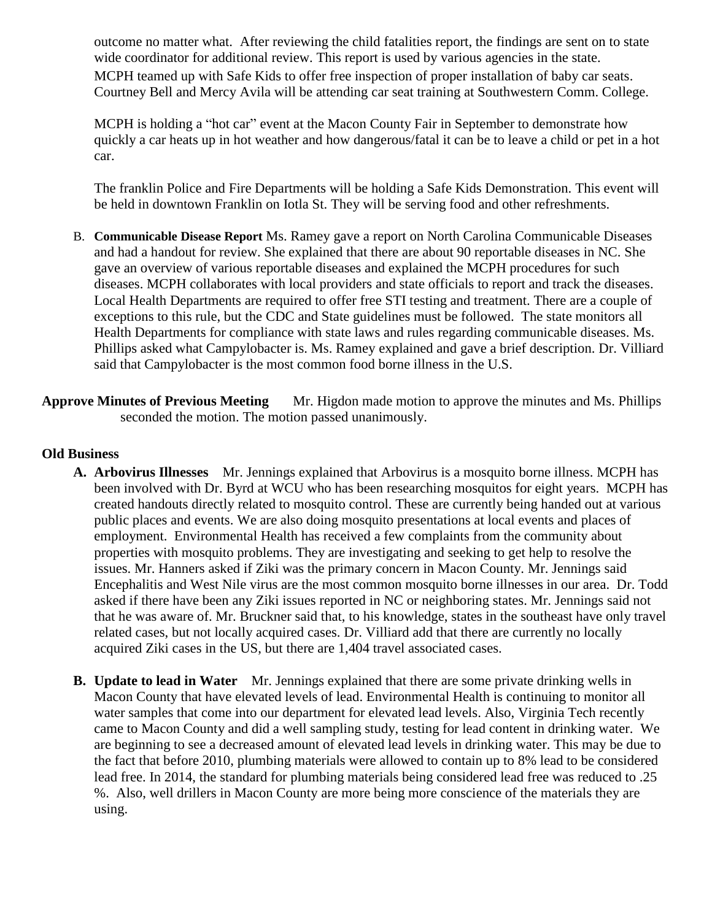outcome no matter what. After reviewing the child fatalities report, the findings are sent on to state wide coordinator for additional review. This report is used by various agencies in the state. MCPH teamed up with Safe Kids to offer free inspection of proper installation of baby car seats. Courtney Bell and Mercy Avila will be attending car seat training at Southwestern Comm. College.

MCPH is holding a "hot car" event at the Macon County Fair in September to demonstrate how quickly a car heats up in hot weather and how dangerous/fatal it can be to leave a child or pet in a hot car.

The franklin Police and Fire Departments will be holding a Safe Kids Demonstration. This event will be held in downtown Franklin on Iotla St. They will be serving food and other refreshments.

- B. **Communicable Disease Report** Ms. Ramey gave a report on North Carolina Communicable Diseases and had a handout for review. She explained that there are about 90 reportable diseases in NC. She gave an overview of various reportable diseases and explained the MCPH procedures for such diseases. MCPH collaborates with local providers and state officials to report and track the diseases. Local Health Departments are required to offer free STI testing and treatment. There are a couple of exceptions to this rule, but the CDC and State guidelines must be followed. The state monitors all Health Departments for compliance with state laws and rules regarding communicable diseases. Ms. Phillips asked what Campylobacter is. Ms. Ramey explained and gave a brief description. Dr. Villiard said that Campylobacter is the most common food borne illness in the U.S.
- **Approve Minutes of Previous Meeting** Mr. Higdon made motion to approve the minutes and Ms. Phillips seconded the motion. The motion passed unanimously.

### **Old Business**

- **A. Arbovirus Illnesses** Mr. Jennings explained that Arbovirus is a mosquito borne illness. MCPH has been involved with Dr. Byrd at WCU who has been researching mosquitos for eight years. MCPH has created handouts directly related to mosquito control. These are currently being handed out at various public places and events. We are also doing mosquito presentations at local events and places of employment. Environmental Health has received a few complaints from the community about properties with mosquito problems. They are investigating and seeking to get help to resolve the issues. Mr. Hanners asked if Ziki was the primary concern in Macon County. Mr. Jennings said Encephalitis and West Nile virus are the most common mosquito borne illnesses in our area. Dr. Todd asked if there have been any Ziki issues reported in NC or neighboring states. Mr. Jennings said not that he was aware of. Mr. Bruckner said that, to his knowledge, states in the southeast have only travel related cases, but not locally acquired cases. Dr. Villiard add that there are currently no locally acquired Ziki cases in the US, but there are 1,404 travel associated cases.
- **B. Update to lead in Water** Mr. Jennings explained that there are some private drinking wells in Macon County that have elevated levels of lead. Environmental Health is continuing to monitor all water samples that come into our department for elevated lead levels. Also, Virginia Tech recently came to Macon County and did a well sampling study, testing for lead content in drinking water. We are beginning to see a decreased amount of elevated lead levels in drinking water. This may be due to the fact that before 2010, plumbing materials were allowed to contain up to 8% lead to be considered lead free. In 2014, the standard for plumbing materials being considered lead free was reduced to .25 %. Also, well drillers in Macon County are more being more conscience of the materials they are using.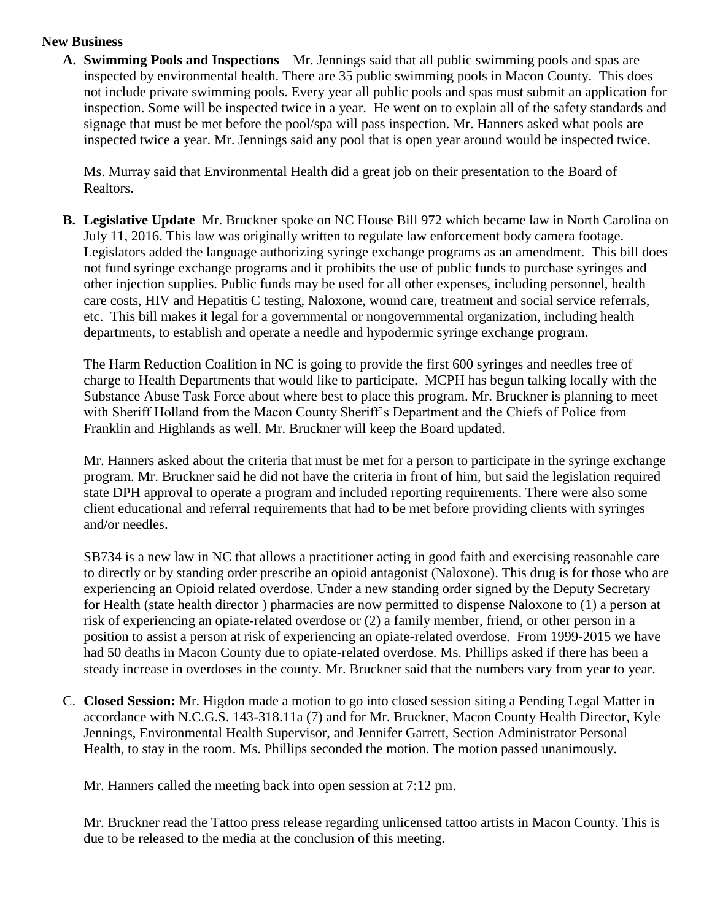## **New Business**

**A. Swimming Pools and Inspections** Mr. Jennings said that all public swimming pools and spas are inspected by environmental health. There are 35 public swimming pools in Macon County. This does not include private swimming pools. Every year all public pools and spas must submit an application for inspection. Some will be inspected twice in a year. He went on to explain all of the safety standards and signage that must be met before the pool/spa will pass inspection. Mr. Hanners asked what pools are inspected twice a year. Mr. Jennings said any pool that is open year around would be inspected twice.

Ms. Murray said that Environmental Health did a great job on their presentation to the Board of Realtors.

**B. Legislative Update** Mr. Bruckner spoke on NC House Bill 972 which became law in North Carolina on July 11, 2016. This law was originally written to regulate law enforcement body camera footage. Legislators added the language authorizing syringe exchange programs as an amendment. This bill does not fund syringe exchange programs and it prohibits the use of public funds to purchase syringes and other injection supplies. Public funds may be used for all other expenses, including personnel, health care costs, HIV and Hepatitis C testing, Naloxone, wound care, treatment and social service referrals, etc. This bill makes it legal for a governmental or nongovernmental organization, including health departments, to establish and operate a needle and hypodermic syringe exchange program.

The Harm Reduction Coalition in NC is going to provide the first 600 syringes and needles free of charge to Health Departments that would like to participate. MCPH has begun talking locally with the Substance Abuse Task Force about where best to place this program. Mr. Bruckner is planning to meet with Sheriff Holland from the Macon County Sheriff's Department and the Chiefs of Police from Franklin and Highlands as well. Mr. Bruckner will keep the Board updated.

Mr. Hanners asked about the criteria that must be met for a person to participate in the syringe exchange program. Mr. Bruckner said he did not have the criteria in front of him, but said the legislation required state DPH approval to operate a program and included reporting requirements. There were also some client educational and referral requirements that had to be met before providing clients with syringes and/or needles.

SB734 is a new law in NC that allows a practitioner acting in good faith and exercising reasonable care to directly or by standing order prescribe an opioid antagonist (Naloxone). This drug is for those who are experiencing an Opioid related overdose. Under a new standing order signed by the Deputy Secretary for Health (state health director ) pharmacies are now permitted to dispense Naloxone to (1) a person at risk of experiencing an opiate-related overdose or (2) a family member, friend, or other person in a position to assist a person at risk of experiencing an opiate-related overdose. From 1999-2015 we have had 50 deaths in Macon County due to opiate-related overdose. Ms. Phillips asked if there has been a steady increase in overdoses in the county. Mr. Bruckner said that the numbers vary from year to year.

C. **Closed Session:** Mr. Higdon made a motion to go into closed session siting a Pending Legal Matter in accordance with N.C.G.S. 143-318.11a (7) and for Mr. Bruckner, Macon County Health Director, Kyle Jennings, Environmental Health Supervisor, and Jennifer Garrett, Section Administrator Personal Health, to stay in the room. Ms. Phillips seconded the motion. The motion passed unanimously.

Mr. Hanners called the meeting back into open session at 7:12 pm.

Mr. Bruckner read the Tattoo press release regarding unlicensed tattoo artists in Macon County. This is due to be released to the media at the conclusion of this meeting.